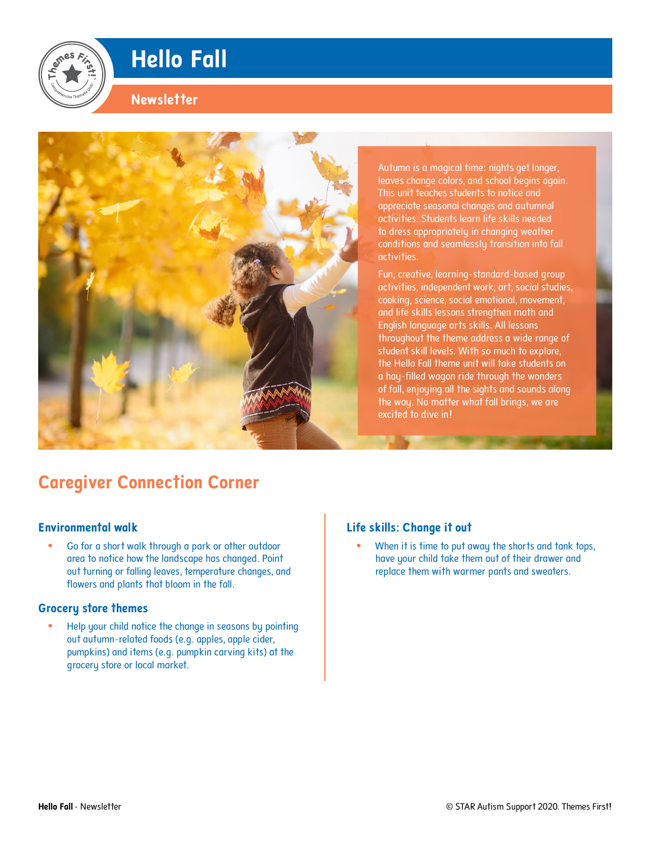# **Hello Fall**

### **Newsletter**



Autumn is a magical time: nights get longer, leaves change colors, and school begins again. This unit teaches students to notice and appreciate seasonal changes and autumnal activities. Students learn life skills needed to dress appropriately in changing weather conditions and seamlessly transition into fall activities.

Fun, creative, learning-standard-based group activities, independent work, art, social studies, cooking, science, social emotional, movement, and life skills lessons strengthen math and English language arts skills. All lessons throughout the theme address a wide range of student skill levels. With so much to explore, the Hello Fall theme unit will take students on a hay-filled wagon ride through the wonders of fall, enjoying all the sights and sounds along the way. No matter what fall brings, we are excited to dive in!

## **Caregiver Connection Corner**

#### **Environmental walk**

**•** Go for a short walk through a park or other outdoor area to notice how the landscape has changed. Point out turning or falling leaves, temperature changes, and flowers and plants that bloom in the fall.

#### **Grocery store themes**

**•** Help your child notice the change in seasons by pointing out autumn-related foods (e.g. apples, apple cider, pumpkins) and items (e.g. pumpkin carving kits) at the grocery store or local market.

#### **Life skills: Change it out**

**•** When it is time to put away the shorts and tank tops, have your child take them out of their drawer and replace them with warmer pants and sweaters.